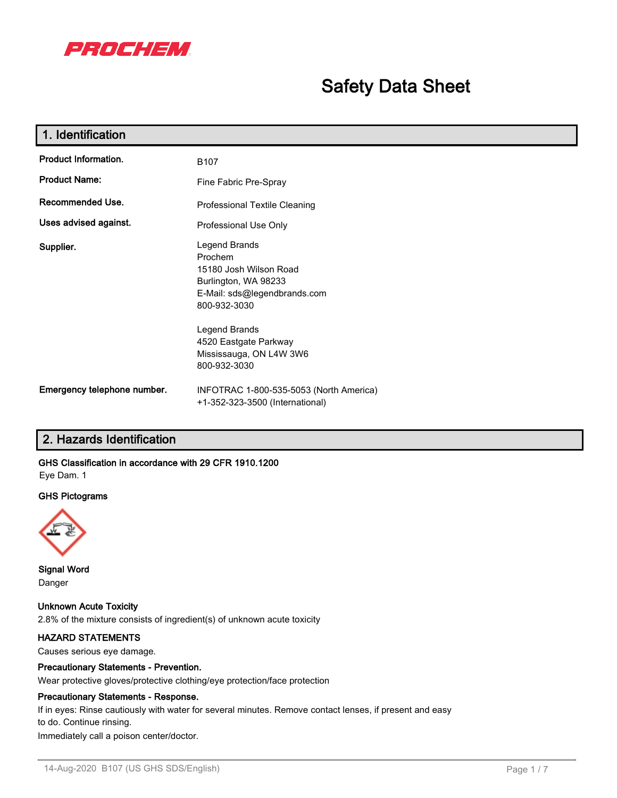

# **Safety Data Sheet**

| 1. Identification                                 |                                                                                                                                                                                                                 |
|---------------------------------------------------|-----------------------------------------------------------------------------------------------------------------------------------------------------------------------------------------------------------------|
| <b>Product Information.</b>                       | B <sub>107</sub>                                                                                                                                                                                                |
| <b>Product Name:</b>                              | Fine Fabric Pre-Spray                                                                                                                                                                                           |
| Recommended Use.<br>Professional Textile Cleaning |                                                                                                                                                                                                                 |
| Uses advised against.                             | Professional Use Only                                                                                                                                                                                           |
| Supplier.                                         | Legend Brands<br>Prochem<br>15180 Josh Wilson Road<br>Burlington, WA 98233<br>E-Mail: sds@legendbrands.com<br>800-932-3030<br>Legend Brands<br>4520 Eastgate Parkway<br>Mississauga, ON L4W 3W6<br>800-932-3030 |
| Emergency telephone number.                       | INFOTRAC 1-800-535-5053 (North America)<br>+1-352-323-3500 (International)                                                                                                                                      |

# **2. Hazards Identification**

# **GHS Classification in accordance with 29 CFR 1910.1200**

Eye Dam. 1

#### **GHS Pictograms**



**Signal Word** Danger

**Unknown Acute Toxicity** 2.8% of the mixture consists of ingredient(s) of unknown acute toxicity

## **HAZARD STATEMENTS**

Causes serious eye damage.

# **Precautionary Statements - Prevention.**

Wear protective gloves/protective clothing/eye protection/face protection

#### **Precautionary Statements - Response.**

If in eyes: Rinse cautiously with water for several minutes. Remove contact lenses, if present and easy to do. Continue rinsing.

Immediately call a poison center/doctor.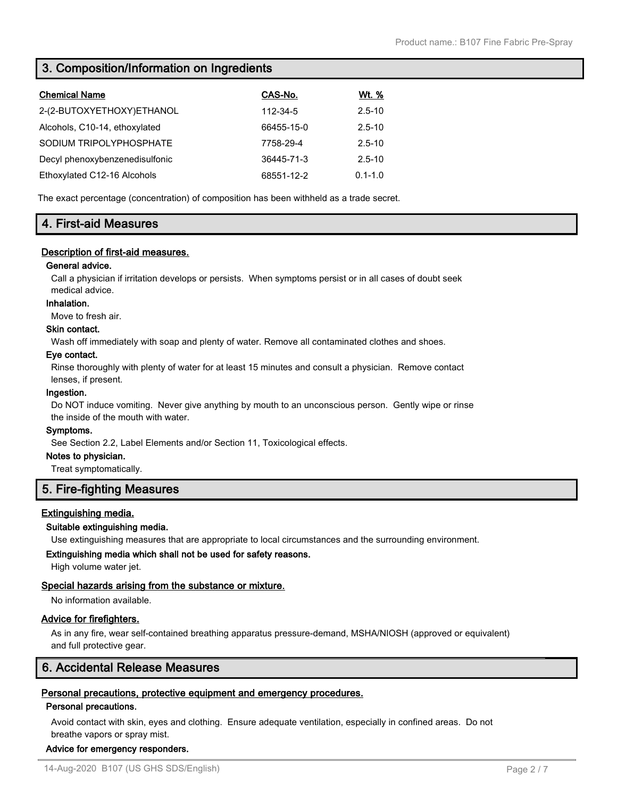# **3. Composition/Information on Ingredients**

| <b>Chemical Name</b>           | CAS-No.    | <u>Wt. %</u> |
|--------------------------------|------------|--------------|
| 2-(2-BUTOXYETHOXY)ETHANOL      | 112-34-5   | $2.5 - 10$   |
| Alcohols, C10-14, ethoxylated  | 66455-15-0 | $2.5 - 10$   |
| SODIUM TRIPOLYPHOSPHATE        | 7758-29-4  | $2.5 - 10$   |
| Decyl phenoxybenzenedisulfonic | 36445-71-3 | $2.5 - 10$   |
| Ethoxylated C12-16 Alcohols    | 68551-12-2 | $0.1 - 1.0$  |

The exact percentage (concentration) of composition has been withheld as a trade secret.

# **4. First-aid Measures**

# **Description of first-aid measures.**

# **General advice.**

Call a physician if irritation develops or persists. When symptoms persist or in all cases of doubt seek medical advice.

#### **Inhalation.**

Move to fresh air.

# **Skin contact.**

Wash off immediately with soap and plenty of water. Remove all contaminated clothes and shoes.

#### **Eye contact.**

Rinse thoroughly with plenty of water for at least 15 minutes and consult a physician. Remove contact lenses, if present.

#### **Ingestion.**

Do NOT induce vomiting. Never give anything by mouth to an unconscious person. Gently wipe or rinse the inside of the mouth with water.

#### **Symptoms.**

See Section 2.2, Label Elements and/or Section 11, Toxicological effects.

#### **Notes to physician.**

Treat symptomatically.

# **5. Fire-fighting Measures**

## **Extinguishing media.**

#### **Suitable extinguishing media.**

Use extinguishing measures that are appropriate to local circumstances and the surrounding environment.

#### **Extinguishing media which shall not be used for safety reasons.**

High volume water jet.

## **Special hazards arising from the substance or mixture.**

No information available.

## **Advice for firefighters.**

As in any fire, wear self-contained breathing apparatus pressure-demand, MSHA/NIOSH (approved or equivalent) and full protective gear.

# **6. Accidental Release Measures**

## **Personal precautions, protective equipment and emergency procedures.**

#### **Personal precautions.**

Avoid contact with skin, eyes and clothing. Ensure adequate ventilation, especially in confined areas. Do not breathe vapors or spray mist.

#### **Advice for emergency responders.**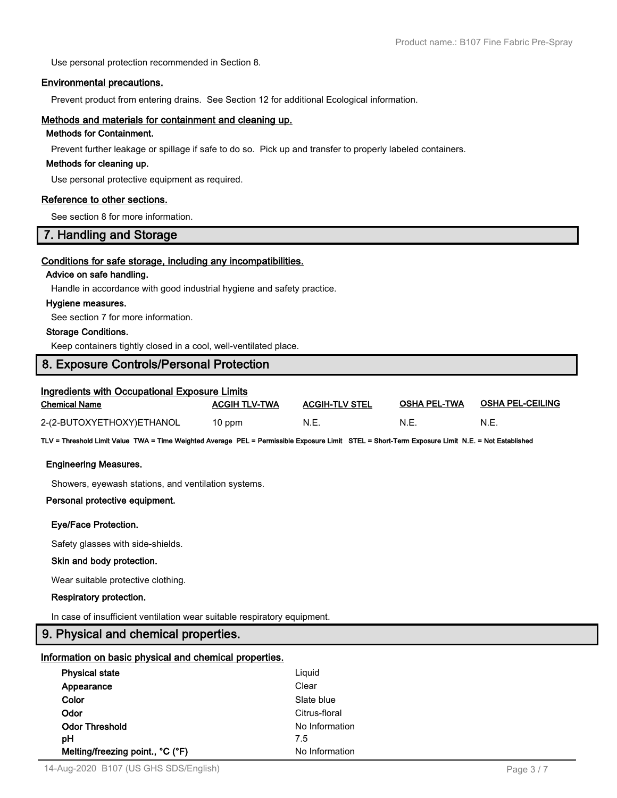Use personal protection recommended in Section 8.

#### **Environmental precautions.**

Prevent product from entering drains. See Section 12 for additional Ecological information.

### **Methods and materials for containment and cleaning up.**

# **Methods for Containment.**

Prevent further leakage or spillage if safe to do so. Pick up and transfer to properly labeled containers.

#### **Methods for cleaning up.**

Use personal protective equipment as required.

#### **Reference to other sections.**

See section 8 for more information.

# **7. Handling and Storage**

#### **Conditions for safe storage, including any incompatibilities.**

#### **Advice on safe handling.**

Handle in accordance with good industrial hygiene and safety practice.

#### **Hygiene measures.**

See section 7 for more information.

### **Storage Conditions.**

Keep containers tightly closed in a cool, well-ventilated place.

# **8. Exposure Controls/Personal Protection**

| Ingredients with Occupational Exposure Limits |                      |                       |                     |                         |  |  |
|-----------------------------------------------|----------------------|-----------------------|---------------------|-------------------------|--|--|
| Chemical Name                                 | <b>ACGIH TLV-TWA</b> | <b>ACGIH-TLV STEL</b> | <b>OSHA PEL-TWA</b> | <b>OSHA PEL-CEILING</b> |  |  |
| 2-(2-BUTOXYETHOXY)ETHANOL                     | 10 ppm               | N.E.                  | N.E                 | N.E.                    |  |  |

**TLV = Threshold Limit Value TWA = Time Weighted Average PEL = Permissible Exposure Limit STEL = Short-Term Exposure Limit N.E. = Not Established**

#### **Engineering Measures.**

Showers, eyewash stations, and ventilation systems.

#### **Personal protective equipment.**

#### **Eye/Face Protection.**

Safety glasses with side-shields.

#### **Skin and body protection.**

Wear suitable protective clothing.

#### **Respiratory protection.**

In case of insufficient ventilation wear suitable respiratory equipment.

# **9. Physical and chemical properties.**

## **Information on basic physical and chemical properties.**

| <b>Physical state</b>            | Liguid         |
|----------------------------------|----------------|
| Appearance                       | Clear          |
| Color                            | Slate blue     |
| Odor                             | Citrus-floral  |
| <b>Odor Threshold</b>            | No Information |
| рH                               | 7.5            |
| Melting/freezing point., °C (°F) | No Information |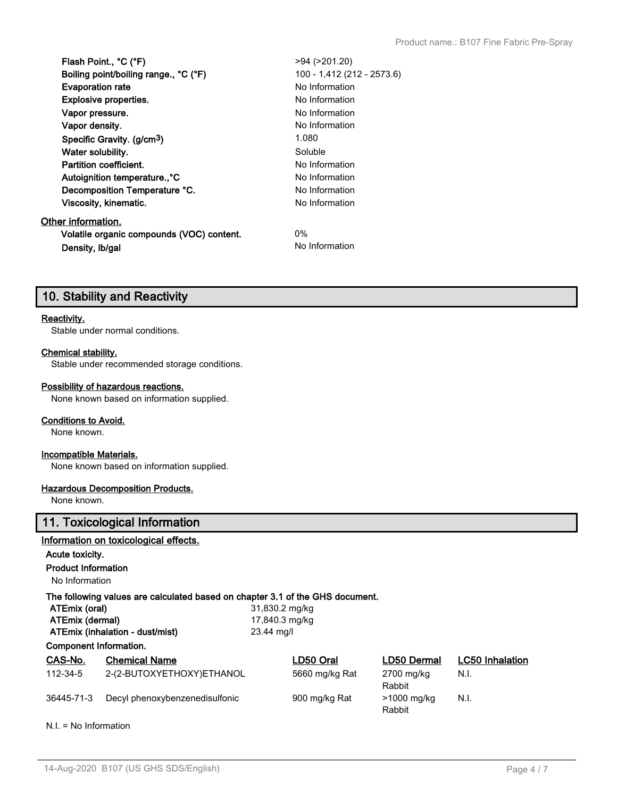| Flash Point., °C (°F)                     | $>94$ ( $>201.20$ )        |
|-------------------------------------------|----------------------------|
| Boiling point/boiling range., °C (°F)     | 100 - 1,412 (212 - 2573.6) |
| <b>Evaporation rate</b>                   | No Information             |
| <b>Explosive properties.</b>              | No Information             |
| Vapor pressure.                           | No Information             |
| Vapor density.                            | No Information             |
| Specific Gravity. (g/cm <sup>3</sup> )    | 1.080                      |
| Water solubility.                         | Soluble                    |
| Partition coefficient.                    | No Information             |
| Autoignition temperature <sup>o</sup> C   | No Information             |
| Decomposition Temperature °C.             | No Information             |
| Viscosity, kinematic.                     | No Information             |
| Other information.                        |                            |
| Volatile organic compounds (VOC) content. | $0\%$                      |
| Density, Ib/gal                           | No Information             |

# **10. Stability and Reactivity**

## **Reactivity.**

Stable under normal conditions.

# **Chemical stability.**

Stable under recommended storage conditions.

#### **Possibility of hazardous reactions.**

None known based on information supplied.

#### **Conditions to Avoid.**

None known.

## **Incompatible Materials.**

None known based on information supplied.

### **Hazardous Decomposition Products.**

None known.

# **11. Toxicological Information**

#### **Information on toxicological effects.**

# **Acute toxicity.**

**Product Information**

No Information

# **The following values are calculated based on chapter 3.1 of the GHS document.**<br>ATEmix (oral)<br> $31.830.2 \text{ molka}$

| <b>ALLINA (VIGI)</b>            | עמוקווו ב.טטט, ו ט |
|---------------------------------|--------------------|
| ATEmix (dermal)                 | 17,840.3 mg/kg     |
| ATEmix (inhalation - dust/mist) | 23.44 ma/l         |
| Component Information.          |                    |

**ATEmix (oral)** 31,830.2 mg/kg **ATEmix (inhalation - dust/mist)** 23.44 mg/l

| CAS-No.    | <b>Chemical Name</b>           | LD50 Oral      | LD50 Dermal           | <b>LC50</b> Inhalation |
|------------|--------------------------------|----------------|-----------------------|------------------------|
| 112-34-5   | 2-(2-BUTOXYETHOXY)ETHANOL      | 5660 mg/kg Rat | 2700 mg/kg<br>Rabbit  | N.I.                   |
| 36445-71-3 | Decyl phenoxybenzenedisulfonic | 900 mg/kg Rat  | >1000 mg/kg<br>Rabbit | N.I.                   |

N.I. = No Information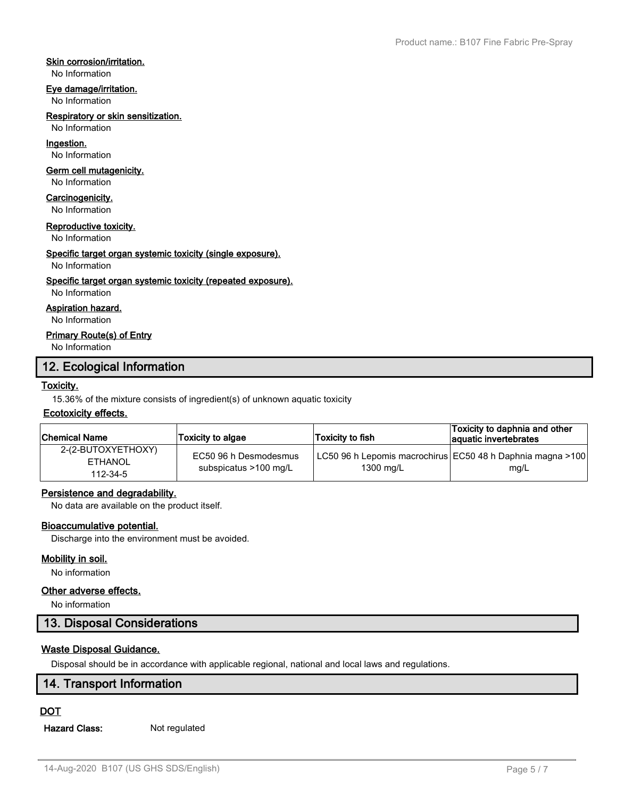# **Skin corrosion/irritation.**

No Information

## **Eye damage/irritation.**

No Information

### **Respiratory or skin sensitization.**

No Information

# **Ingestion.**

No Information

## **Germ cell mutagenicity.**

No Information

# **Carcinogenicity.**

No Information

#### **Reproductive toxicity.**

No Information

## **Specific target organ systemic toxicity (single exposure).**

#### No Information

## **Specific target organ systemic toxicity (repeated exposure).**

No Information

# **Aspiration hazard.**

No Information

# **Primary Route(s) of Entry**

No Information

# **12. Ecological Information**

# **Toxicity.**

15.36% of the mixture consists of ingredient(s) of unknown aquatic toxicity

## **Ecotoxicity effects.**

| Chemical Name                                    | <b>Toxicity to algae</b>                       | Toxicity to fish | Toxicity to daphnia and other<br>aquatic invertebrates               |
|--------------------------------------------------|------------------------------------------------|------------------|----------------------------------------------------------------------|
| 2-(2-BUTOXYETHOXY)<br><b>ETHANOL</b><br>112-34-5 | EC50 96 h Desmodesmus<br>subspicatus >100 mg/L | 1300 mg/L        | LC50 96 h Lepomis macrochirus  EC50 48 h Daphnia magna >100 <br>mg/L |

# **Persistence and degradability.**

No data are available on the product itself.

# **Bioaccumulative potential.**

Discharge into the environment must be avoided.

## **Mobility in soil.**

No information

# **Other adverse effects.**

No information

# **13. Disposal Considerations**

# **Waste Disposal Guidance.**

Disposal should be in accordance with applicable regional, national and local laws and regulations.

# **14. Transport Information**

# **DOT**

**Hazard Class:** Not regulated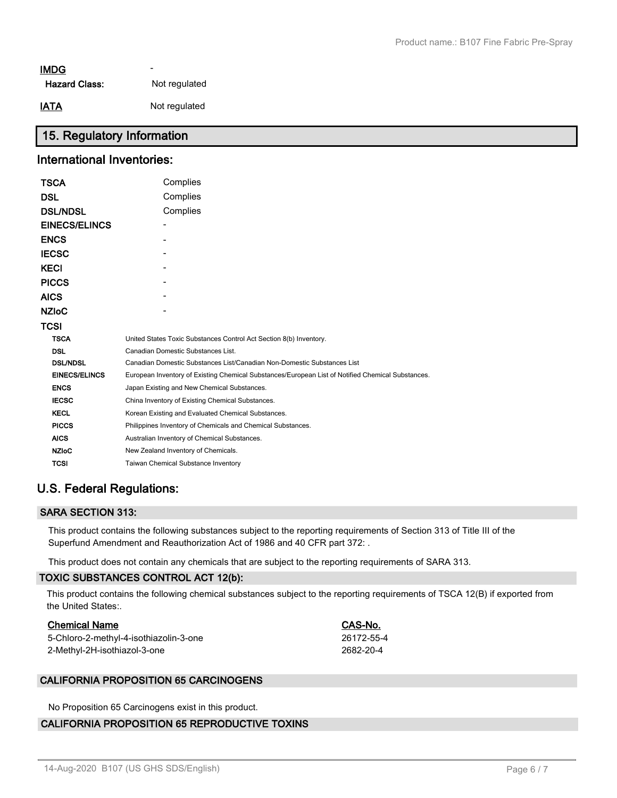# - **IMDG**

Hazard Class: Not regulated

**IATA** Not regulated

# **15. Regulatory Information**

# **International Inventories:**

| TSCA                 | Complies                                                                                          |
|----------------------|---------------------------------------------------------------------------------------------------|
| DSL                  | Complies                                                                                          |
| <b>DSL/NDSL</b>      | Complies                                                                                          |
| <b>EINECS/ELINCS</b> |                                                                                                   |
| ENCS                 |                                                                                                   |
| IECSC                |                                                                                                   |
| KECI                 |                                                                                                   |
| <b>PICCS</b>         |                                                                                                   |
| AICS                 |                                                                                                   |
| NZIoC                |                                                                                                   |
| TCSI                 |                                                                                                   |
| <b>TSCA</b>          | United States Toxic Substances Control Act Section 8(b) Inventory.                                |
| <b>DSL</b>           | Canadian Domestic Substances List.                                                                |
| <b>DSL/NDSL</b>      | Canadian Domestic Substances List/Canadian Non-Domestic Substances List                           |
| <b>EINECS/ELINCS</b> | European Inventory of Existing Chemical Substances/European List of Notified Chemical Substances. |
| <b>ENCS</b>          | Japan Existing and New Chemical Substances.                                                       |
| <b>IECSC</b>         | China Inventory of Existing Chemical Substances.                                                  |
| <b>KECL</b>          | Korean Existing and Evaluated Chemical Substances.                                                |
| <b>PICCS</b>         | Philippines Inventory of Chemicals and Chemical Substances.                                       |
| <b>AICS</b>          | Australian Inventory of Chemical Substances.                                                      |
| <b>NZIoC</b>         | New Zealand Inventory of Chemicals.                                                               |
| <b>TCSI</b>          | Taiwan Chemical Substance Inventory                                                               |
|                      |                                                                                                   |

# **U.S. Federal Regulations:**

# **SARA SECTION 313:**

This product contains the following substances subject to the reporting requirements of Section 313 of Title III of the Superfund Amendment and Reauthorization Act of 1986 and 40 CFR part 372: .

This product does not contain any chemicals that are subject to the reporting requirements of SARA 313.

# **TOXIC SUBSTANCES CONTROL ACT 12(b):**

This product contains the following chemical substances subject to the reporting requirements of TSCA 12(B) if exported from the United States:.

## **Chemical Name CAS-No.**

| 5-Chloro-2-methyl-4-isothiazolin-3-one | 26172-55-4 |
|----------------------------------------|------------|
| 2-Methyl-2H-isothiazol-3-one           | 2682-20-4  |

## **CALIFORNIA PROPOSITION 65 CARCINOGENS**

No Proposition 65 Carcinogens exist in this product.

# **CALIFORNIA PROPOSITION 65 REPRODUCTIVE TOXINS**